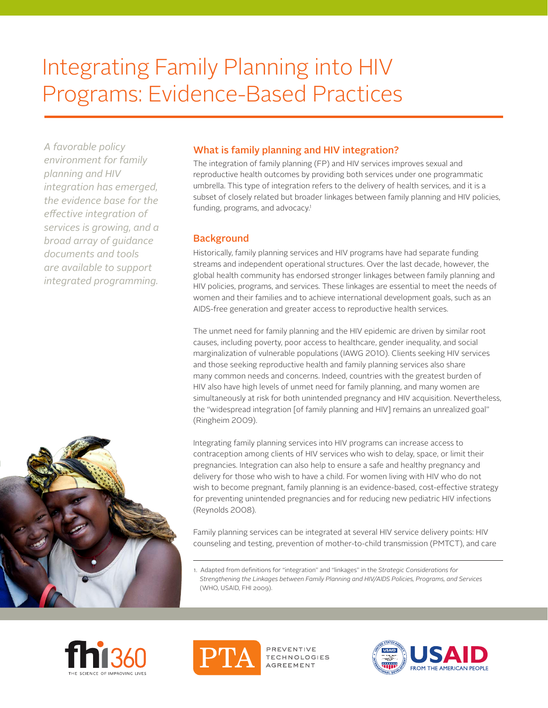# Integrating Family Planning into HIV Programs: Evidence-Based Practices

*A favorable policy environment for family planning and HIV integration has emerged, the evidence base for the effective integration of services is growing, and a broad array of guidance documents and tools are available to support integrated programming.*



# What is family planning and HIV integration?

The integration of family planning (FP) and HIV services improves sexual and reproductive health outcomes by providing both services under one programmatic umbrella. This type of integration refers to the delivery of health services, and it is a subset of closely related but broader linkages between family planning and HIV policies, funding, programs, and advocacy.<sup>1</sup>

# **Background**

Historically, family planning services and HIV programs have had separate funding streams and independent operational structures. Over the last decade, however, the global health community has endorsed stronger linkages between family planning and HIV policies, programs, and services. These linkages are essential to meet the needs of women and their families and to achieve international development goals, such as an AIDS-free generation and greater access to reproductive health services.

The unmet need for family planning and the HIV epidemic are driven by similar root causes, including poverty, poor access to healthcare, gender inequality, and social marginalization of vulnerable populations (IAWG 2010). Clients seeking HIV services and those seeking reproductive health and family planning services also share many common needs and concerns. Indeed, countries with the greatest burden of HIV also have high levels of unmet need for family planning, and many women are simultaneously at risk for both unintended pregnancy and HIV acquisition. Nevertheless, the "widespread integration [of family planning and HIV] remains an unrealized goal" (Ringheim 2009).

Integrating family planning services into HIV programs can increase access to contraception among clients of HIV services who wish to delay, space, or limit their pregnancies. Integration can also help to ensure a safe and healthy pregnancy and delivery for those who wish to have a child. For women living with HIV who do not wish to become pregnant, family planning is an evidence-based, cost-effective strategy for preventing unintended pregnancies and for reducing new pediatric HIV infections (Reynolds 2008).

Family planning services can be integrated at several HIV service delivery points: HIV counseling and testing, prevention of mother-to-child transmission (PMTCT), and care

1. Adapted from definitions for "integration" and "linkages" in the Strategic Considerations for *Strengthening the Linkages between Family Planning and HIV/AIDS Policies, Programs, and Services* (WHO, USAID, FHI 2009).





PREVENTIVE TECHNOLOGIES AGREEMENT

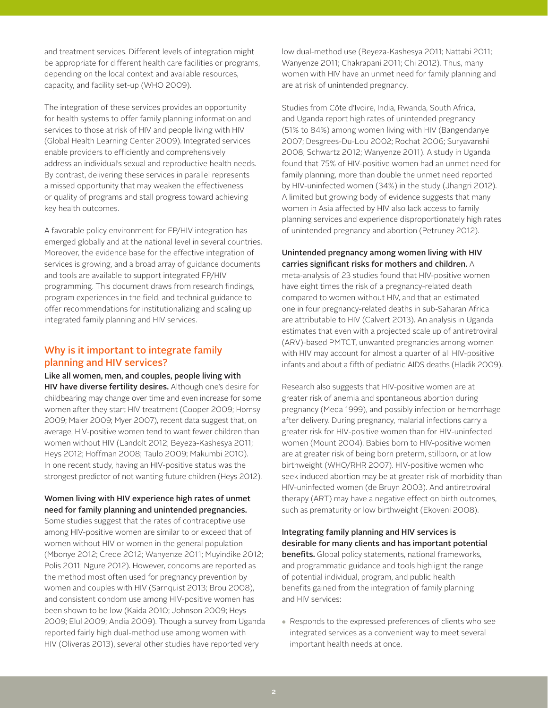and treatment services. Different levels of integration might be appropriate for different health care facilities or programs, depending on the local context and available resources, capacity, and facility set-up (WHO 2009).

The integration of these services provides an opportunity for health systems to offer family planning information and services to those at risk of HIV and people living with HIV (Global Health Learning Center 2009). Integrated services enable providers to efficiently and comprehensively address an individual's sexual and reproductive health needs. By contrast, delivering these services in parallel represents a missed opportunity that may weaken the effectiveness or quality of programs and stall progress toward achieving key health outcomes.

A favorable policy environment for FP/HIV integration has emerged globally and at the national level in several countries. Moreover, the evidence base for the effective integration of services is growing, and a broad array of guidance documents and tools are available to support integrated FP/HIV programming. This document draws from research findings, program experiences in the field, and technical guidance to offer recommendations for institutionalizing and scaling up integrated family planning and HIV services.

# Why is it important to integrate family planning and HIV services?

Like all women, men, and couples, people living with HIV have diverse fertility desires. Although one's desire for childbearing may change over time and even increase for some women after they start HIV treatment (Cooper 2009; Homsy 2009; Maier 2009; Myer 2007), recent data suggest that, on average, HIV-positive women tend to want fewer children than women without HIV (Landolt 2012; Beyeza-Kashesya 2011; Heys 2012; Hoffman 2008; Taulo 2009; Makumbi 2010). In one recent study, having an HIV-positive status was the strongest predictor of not wanting future children (Heys 2012).

## Women living with HIV experience high rates of unmet need for family planning and unintended pregnancies.

Some studies suggest that the rates of contraceptive use among HIV-positive women are similar to or exceed that of women without HIV or women in the general population (Mbonye 2012; Crede 2012; Wanyenze 2011; Muyindike 2012; Polis 2011; Ngure 2012). However, condoms are reported as the method most often used for pregnancy prevention by women and couples with HIV (Sarnquist 2013; Brou 2008), and consistent condom use among HIV-positive women has been shown to be low (Kaida 2010; Johnson 2009; Heys 2009; Elul 2009; Andia 2009). Though a survey from Uganda reported fairly high dual-method use among women with HIV (Oliveras 2013), several other studies have reported very

low dual-method use (Beyeza-Kashesya 2011; Nattabi 2011; Wanyenze 2011; Chakrapani 2011; Chi 2012). Thus, many women with HIV have an unmet need for family planning and are at risk of unintended pregnancy.

Studies from Côte d'Ivoire, India, Rwanda, South Africa, and Uganda report high rates of unintended pregnancy (51% to 84%) among women living with HIV (Bangendanye 2007; Desgrees-Du-Lou 2002; Rochat 2006; Suryavanshi 2008; Schwartz 2012; Wanyenze 2011). A study in Uganda found that 75% of HIV-positive women had an unmet need for family planning, more than double the unmet need reported by HIV-uninfected women (34%) in the study (Jhangri 2012). A limited but growing body of evidence suggests that many women in Asia affected by HIV also lack access to family planning services and experience disproportionately high rates of unintended pregnancy and abortion (Petruney 2012).

## Unintended pregnancy among women living with HIV carries significant risks for mothers and children. A

meta-analysis of 23 studies found that HIV-positive women have eight times the risk of a pregnancy-related death compared to women without HIV, and that an estimated one in four pregnancy-related deaths in sub-Saharan Africa are attributable to HIV (Calvert 2013). An analysis in Uganda estimates that even with a projected scale up of antiretroviral (ARV)-based PMTCT, unwanted pregnancies among women with HIV may account for almost a quarter of all HIV-positive infants and about a fifth of pediatric AIDS deaths (Hladik 2009).

Research also suggests that HIV-positive women are at greater risk of anemia and spontaneous abortion during pregnancy (Meda 1999), and possibly infection or hemorrhage after delivery. During pregnancy, malarial infections carry a greater risk for HIV-positive women than for HIV-uninfected women (Mount 2004). Babies born to HIV-positive women are at greater risk of being born preterm, stillborn, or at low birthweight (WHO/RHR 2007). HIV-positive women who seek induced abortion may be at greater risk of morbidity than HIV-uninfected women (de Bruyn 2003). And antiretroviral therapy (ART) may have a negative effect on birth outcomes, such as prematurity or low birthweight (Ekoveni 2008).

Integrating family planning and HIV services is desirable for many clients and has important potential **benefits.** Global policy statements, national frameworks, and programmatic guidance and tools highlight the range of potential individual, program, and public health benefits gained from the integration of family planning and HIV services:

● Responds to the expressed preferences of clients who see integrated services as a convenient way to meet several important health needs at once.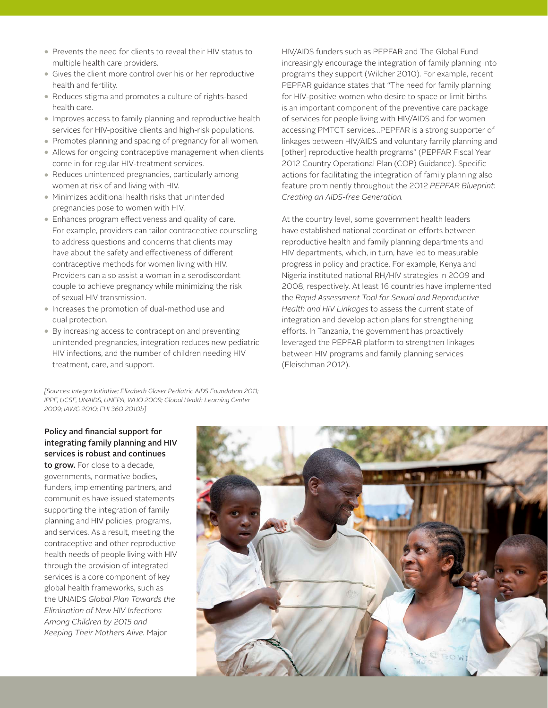- Prevents the need for clients to reveal their HIV status to multiple health care providers.
- Gives the client more control over his or her reproductive health and fertility.
- Reduces stigma and promotes a culture of rights-based health care.
- Improves access to family planning and reproductive health services for HIV-positive clients and high-risk populations.
- Promotes planning and spacing of pregnancy for all women.
- Allows for ongoing contraceptive management when clients come in for regular HIV-treatment services.
- Reduces unintended pregnancies, particularly among women at risk of and living with HIV.
- Minimizes additional health risks that unintended pregnancies pose to women with HIV.
- Enhances program effectiveness and quality of care. For example, providers can tailor contraceptive counseling to address questions and concerns that clients may have about the safety and effectiveness of different contraceptive methods for women living with HIV. Providers can also assist a woman in a serodiscordant couple to achieve pregnancy while minimizing the risk of sexual HIV transmission.
- Increases the promotion of dual-method use and dual protection.
- By increasing access to contraception and preventing unintended pregnancies, integration reduces new pediatric HIV infections, and the number of children needing HIV treatment, care, and support.

*[Sources: Integra Initiative; Elizabeth Glaser Pediatric AIDS Foundation 2011; IPPF, UCSF, UNAIDS, UNFPA, WHO 2009; Global Health Learning Center 2009; IAWG 2010; FHI 360 2010b]* 

HIV/AIDS funders such as PEPFAR and The Global Fund increasingly encourage the integration of family planning into programs they support (Wilcher 2010). For example, recent PEPFAR guidance states that "The need for family planning for HIV-positive women who desire to space or limit births is an important component of the preventive care package of services for people living with HIV/AIDS and for women accessing PMTCT services…PEPFAR is a strong supporter of linkages between HIV/AIDS and voluntary family planning and [other] reproductive health programs" (PEPFAR Fiscal Year 2012 Country Operational Plan (COP) Guidance). Specific actions for facilitating the integration of family planning also feature prominently throughout the 2012 *PEPFAR Blueprint: Creating an AIDS-free Generation.*

At the country level, some government health leaders have established national coordination efforts between reproductive health and family planning departments and HIV departments, which, in turn, have led to measurable progress in policy and practice. For example, Kenya and Nigeria instituted national RH/HIV strategies in 2009 and 2008, respectively. At least 16 countries have implemented the *Rapid Assessment Tool for Sexual and Reproductive Health and HIV Linkages* to assess the current state of integration and develop action plans for strengthening efforts. In Tanzania, the government has proactively leveraged the PEPFAR platform to strengthen linkages between HIV programs and family planning services (Fleischman 2012).

# Policy and financial support for integrating family planning and HIV services is robust and continues

to grow. For close to a decade, governments, normative bodies, funders, implementing partners, and communities have issued statements supporting the integration of family planning and HIV policies, programs, and services. As a result, meeting the contraceptive and other reproductive health needs of people living with HIV through the provision of integrated services is a core component of key global health frameworks, such as the UNAIDS *Global Plan Towards the Elimination of New HIV Infections Among Children by 2015 and Keeping Their Mothers Alive.* Major

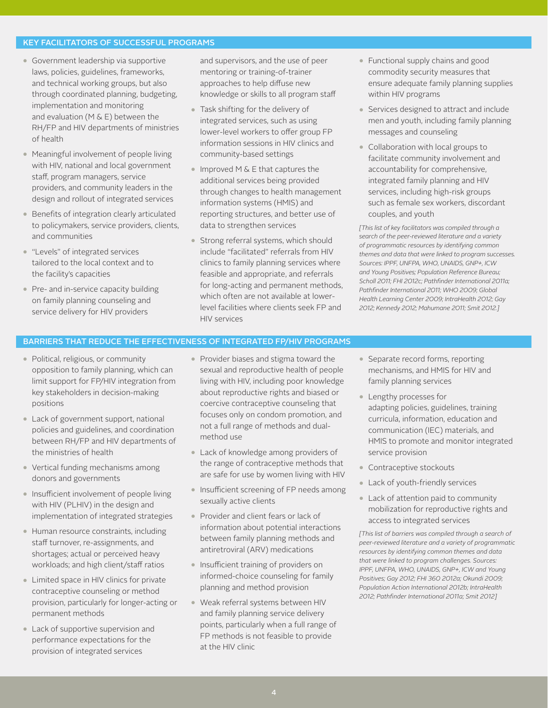### KEY FACILITATORS OF SUCCESSFUL PROGRAMS

- Government leadership via supportive laws, policies, guidelines, frameworks, and technical working groups, but also through coordinated planning, budgeting, implementation and monitoring and evaluation (M & E) between the RH/FP and HIV departments of ministries of health
- Meaningful involvement of people living with HIV, national and local government staff, program managers, service providers, and community leaders in the design and rollout of integrated services
- Benefits of integration clearly articulated to policymakers, service providers, clients, and communities
- "Levels" of integrated services tailored to the local context and to the facility's capacities
- Pre- and in-service capacity building on family planning counseling and service delivery for HIV providers

and supervisors, and the use of peer mentoring or training-of-trainer approaches to help diffuse new knowledge or skills to all program staff

- Task shifting for the delivery of integrated services, such as using lower-level workers to offer group FP information sessions in HIV clinics and community-based settings
- Improved M & E that captures the additional services being provided through changes to health management information systems (HMIS) and reporting structures, and better use of data to strengthen services
- Strong referral systems, which should include "facilitated" referrals from HIV clinics to family planning services where feasible and appropriate, and referrals for long-acting and permanent methods, which often are not available at lowerlevel facilities where clients seek FP and HIV services
- Functional supply chains and good commodity security measures that ensure adequate family planning supplies within HIV programs
- Services designed to attract and include men and youth, including family planning messages and counseling
- Collaboration with local groups to facilitate community involvement and accountability for comprehensive, integrated family planning and HIV services, including high-risk groups such as female sex workers, discordant couples, and youth

*[This list of key facilitators was compiled through a search of the peer-reviewed literature and a variety of programmatic resources by identifying common themes and data that were linked to program successes. Sources: IPPF, UNFPA, WHO, UNAIDS, GNP+, ICW and Young Positives; Population Reference Bureau;*  Scholl 2011; FHI 2012c; Pathfinder International 2011a; Pathfinder International 2011; WHO 2009; Global *Health Learning Center 2009; IntraHealth 2012; Gay 2012; Kennedy 2012; Mahumane 2011; Smit 2012.]*

## BARRIERS THAT REDUCE THE EFFECTIVENESS OF INTEGRATED FP/HIV PROGRAMS

- Political, religious, or community opposition to family planning, which can limit support for FP/HIV integration from key stakeholders in decision-making positions
- Lack of government support, national policies and guidelines, and coordination between RH/FP and HIV departments of the ministries of health
- Vertical funding mechanisms among donors and governments
- Insufficient involvement of people living with HIV (PLHIV) in the design and implementation of integrated strategies
- Human resource constraints, including staff turnover, re-assignments, and shortages; actual or perceived heavy workloads; and high client/staff ratios
- Limited space in HIV clinics for private contraceptive counseling or method provision, particularly for longer-acting or permanent methods
- Lack of supportive supervision and performance expectations for the provision of integrated services
- Provider biases and stigma toward the sexual and reproductive health of people living with HIV, including poor knowledge about reproductive rights and biased or coercive contraceptive counseling that focuses only on condom promotion, and not a full range of methods and dualmethod use
- Lack of knowledge among providers of the range of contraceptive methods that are safe for use by women living with HIV
- Insufficient screening of FP needs among sexually active clients
- Provider and client fears or lack of information about potential interactions between family planning methods and antiretroviral (ARV) medications
- Insufficient training of providers on informed-choice counseling for family planning and method provision
- Weak referral systems between HIV and family planning service delivery points, particularly when a full range of FP methods is not feasible to provide at the HIV clinic
- Separate record forms, reporting mechanisms, and HMIS for HIV and family planning services
- Lengthy processes for adapting policies, guidelines, training curricula, information, education and communication (IEC) materials, and HMIS to promote and monitor integrated service provision
- Contraceptive stockouts
- Lack of youth-friendly services
- Lack of attention paid to community mobilization for reproductive rights and access to integrated services

*[This list of barriers was compiled through a search of peer-reviewed literature and a variety of programmatic resources by identifying common themes and data that were linked to program challenges. Sources: IPPF, UNFPA, WHO, UNAIDS, GNP+, ICW and Young Positives; Gay 2012; FHI 360 2012a; Okundi 2009; Population Action International 2012b; IntraHealth 2012; Pathnder International 2011a; Smit 2012]*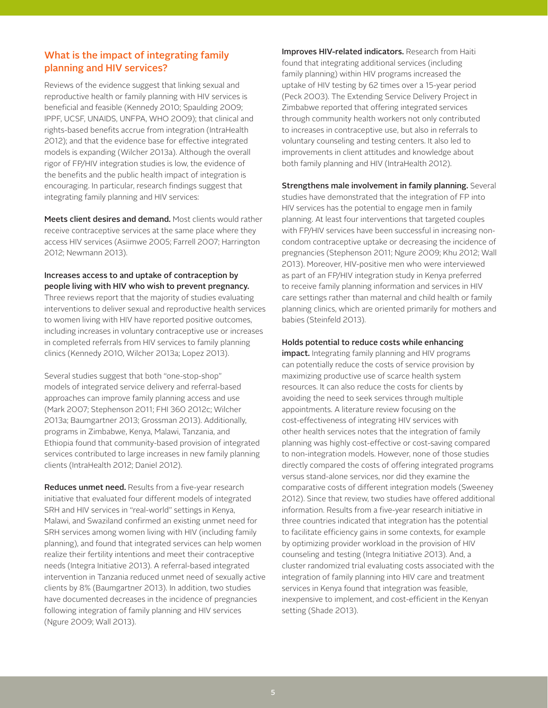# What is the impact of integrating family planning and HIV services?

Reviews of the evidence suggest that linking sexual and reproductive health or family planning with HIV services is beneficial and feasible (Kennedy 2010; Spaulding 2009; IPPF, UCSF, UNAIDS, UNFPA, WHO 2009); that clinical and rights-based benefits accrue from integration (IntraHealth 2012); and that the evidence base for effective integrated models is expanding (Wilcher 2013a). Although the overall rigor of FP/HIV integration studies is low, the evidence of the benefits and the public health impact of integration is encouraging. In particular, research findings suggest that integrating family planning and HIV services:

Meets client desires and demand. Most clients would rather receive contraceptive services at the same place where they access HIV services (Asiimwe 2005; Farrell 2007; Harrington 2012; Newmann 2013).

# Increases access to and uptake of contraception by people living with HIV who wish to prevent pregnancy.

Three reviews report that the majority of studies evaluating interventions to deliver sexual and reproductive health services to women living with HIV have reported positive outcomes, including increases in voluntary contraceptive use or increases in completed referrals from HIV services to family planning clinics (Kennedy 2010, Wilcher 2013a; Lopez 2013).

Several studies suggest that both "one-stop-shop" models of integrated service delivery and referral-based approaches can improve family planning access and use (Mark 2007; Stephenson 2011; FHI 360 2012c; Wilcher 2013a; Baumgartner 2013; Grossman 2013). Additionally, programs in Zimbabwe, Kenya, Malawi, Tanzania, and Ethiopia found that community-based provision of integrated services contributed to large increases in new family planning clients (IntraHealth 2012; Daniel 2012).

Reduces unmet need. Results from a five-year research initiative that evaluated four different models of integrated SRH and HIV services in "real-world" settings in Kenya, Malawi, and Swaziland confirmed an existing unmet need for SRH services among women living with HIV (including family planning), and found that integrated services can help women realize their fertility intentions and meet their contraceptive needs (Integra Initiative 2013). A referral-based integrated intervention in Tanzania reduced unmet need of sexually active clients by 8% (Baumgartner 2013). In addition, two studies have documented decreases in the incidence of pregnancies following integration of family planning and HIV services (Ngure 2009; Wall 2013).

Improves HIV-related indicators. Research from Haiti found that integrating additional services (including family planning) within HIV programs increased the uptake of HIV testing by 62 times over a 15-year period (Peck 2003). The Extending Service Delivery Project in Zimbabwe reported that offering integrated services through community health workers not only contributed to increases in contraceptive use, but also in referrals to voluntary counseling and testing centers. It also led to improvements in client attitudes and knowledge about both family planning and HIV (IntraHealth 2012).

Strengthens male involvement in family planning. Several studies have demonstrated that the integration of FP into HIV services has the potential to engage men in family planning. At least four interventions that targeted couples with FP/HIV services have been successful in increasing noncondom contraceptive uptake or decreasing the incidence of pregnancies (Stephenson 2011; Ngure 2009; Khu 2012; Wall 2013). Moreover, HIV-positive men who were interviewed as part of an FP/HIV integration study in Kenya preferred to receive family planning information and services in HIV care settings rather than maternal and child health or family planning clinics, which are oriented primarily for mothers and babies (Steinfeld 2013).

## Holds potential to reduce costs while enhancing

impact. Integrating family planning and HIV programs can potentially reduce the costs of service provision by maximizing productive use of scarce health system resources. It can also reduce the costs for clients by avoiding the need to seek services through multiple appointments. A literature review focusing on the cost-effectiveness of integrating HIV services with other health services notes that the integration of family planning was highly cost-effective or cost-saving compared to non-integration models. However, none of those studies directly compared the costs of offering integrated programs versus stand-alone services, nor did they examine the comparative costs of different integration models (Sweeney 2012). Since that review, two studies have offered additional information. Results from a five-year research initiative in three countries indicated that integration has the potential to facilitate efficiency gains in some contexts, for example by optimizing provider workload in the provision of HIV counseling and testing (Integra Initiative 2013). And, a cluster randomized trial evaluating costs associated with the integration of family planning into HIV care and treatment services in Kenya found that integration was feasible, inexpensive to implement, and cost-efficient in the Kenyan setting (Shade 2013).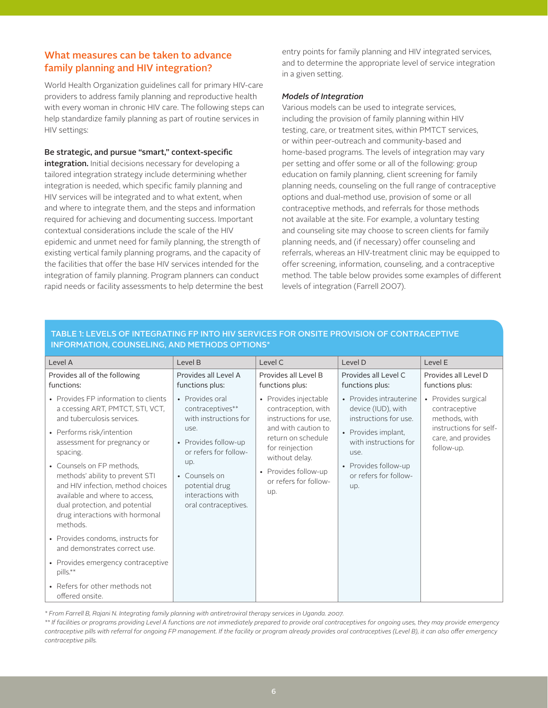# What measures can be taken to advance family planning and HIV integration?

World Health Organization guidelines call for primary HIV-care providers to address family planning and reproductive health with every woman in chronic HIV care. The following steps can help standardize family planning as part of routine services in HIV settings:

## Be strategic, and pursue "smart," context-specific

integration. Initial decisions necessary for developing a tailored integration strategy include determining whether integration is needed, which specific family planning and HIV services will be integrated and to what extent, when and where to integrate them, and the steps and information required for achieving and documenting success. Important contextual considerations include the scale of the HIV epidemic and unmet need for family planning, the strength of existing vertical family planning programs, and the capacity of the facilities that offer the base HIV services intended for the integration of family planning. Program planners can conduct rapid needs or facility assessments to help determine the best entry points for family planning and HIV integrated services, and to determine the appropriate level of service integration in a given setting.

## *Models of Integration*

Various models can be used to integrate services, including the provision of family planning within HIV testing, care, or treatment sites, within PMTCT services, or within peer-outreach and community-based and home-based programs. The levels of integration may vary per setting and offer some or all of the following: group education on family planning, client screening for family planning needs, counseling on the full range of contraceptive options and dual-method use, provision of some or all contraceptive methods, and referrals for those methods not available at the site. For example, a voluntary testing and counseling site may choose to screen clients for family planning needs, and (if necessary) offer counseling and referrals, whereas an HIV-treatment clinic may be equipped to offer screening, information, counseling, and a contraceptive method. The table below provides some examples of different levels of integration (Farrell 2007).

| Level A                                                                                                                                                                                                                                                                                                                                                                                                                                                                      | Level B                                                                                                                                                                                                      | Level C                                                                                                                                                                                                         | Level D                                                                                                                                                                                | Level E                                                                                                             |
|------------------------------------------------------------------------------------------------------------------------------------------------------------------------------------------------------------------------------------------------------------------------------------------------------------------------------------------------------------------------------------------------------------------------------------------------------------------------------|--------------------------------------------------------------------------------------------------------------------------------------------------------------------------------------------------------------|-----------------------------------------------------------------------------------------------------------------------------------------------------------------------------------------------------------------|----------------------------------------------------------------------------------------------------------------------------------------------------------------------------------------|---------------------------------------------------------------------------------------------------------------------|
| Provides all of the following<br>functions:                                                                                                                                                                                                                                                                                                                                                                                                                                  | Provides all Level A<br>functions plus:                                                                                                                                                                      | Provides all Level B<br>functions plus:                                                                                                                                                                         | Provides all Level C.<br>functions plus:                                                                                                                                               | Provides all Level D<br>functions plus:                                                                             |
| • Provides FP information to clients<br>a ccessing ART, PMTCT, STI, VCT,<br>and tuberculosis services.<br>• Performs risk/intention<br>assessment for pregnancy or<br>spacing.<br>• Counsels on FP methods,<br>methods' ability to prevent STI<br>and HIV infection, method choices<br>available and where to access,<br>dual protection, and potential<br>drug interactions with hormonal<br>methods.<br>• Provides condoms, instructs for<br>and demonstrates correct use. | • Provides oral<br>contraceptives**<br>with instructions for<br>use.<br>• Provides follow-up<br>or refers for follow-<br>up.<br>• Counsels on<br>potential drug<br>interactions with<br>oral contraceptives. | • Provides injectable<br>contraception, with<br>instructions for use.<br>and with caution to<br>return on schedule<br>for reinjection<br>without delay.<br>• Provides follow-up<br>or refers for follow-<br>up. | • Provides intrauterine<br>device (IUD), with<br>instructions for use.<br>• Provides implant,<br>with instructions for<br>use.<br>• Provides follow-up<br>or refers for follow-<br>up. | • Provides surgical<br>contraceptive<br>methods, with<br>instructions for self-<br>care, and provides<br>follow-up. |
| • Provides emergency contraceptive<br>pills.**                                                                                                                                                                                                                                                                                                                                                                                                                               |                                                                                                                                                                                                              |                                                                                                                                                                                                                 |                                                                                                                                                                                        |                                                                                                                     |
| • Refers for other methods not<br>offered onsite.                                                                                                                                                                                                                                                                                                                                                                                                                            |                                                                                                                                                                                                              |                                                                                                                                                                                                                 |                                                                                                                                                                                        |                                                                                                                     |

# TABLE 1: LEVELS OF INTEGRATING FP INTO HIV SERVICES FOR ONSITE PROVISION OF CONTRACEPTIVE INFORMATION, COUNSELING, AND METHODS OPTIONS\*

*\* From Farrell B, Rajani N. Integrating family planning with antiretroviral therapy services in Uganda. 2007.* 

*\*\* If facilities or programs providing Level A functions are not immediately prepared to provide oral contraceptives for ongoing uses, they may provide emergency contraceptive pills with referral for ongoing FP management. If the facility or program already provides oral contraceptives (Level B), it can also offer emergency contraceptive pills.*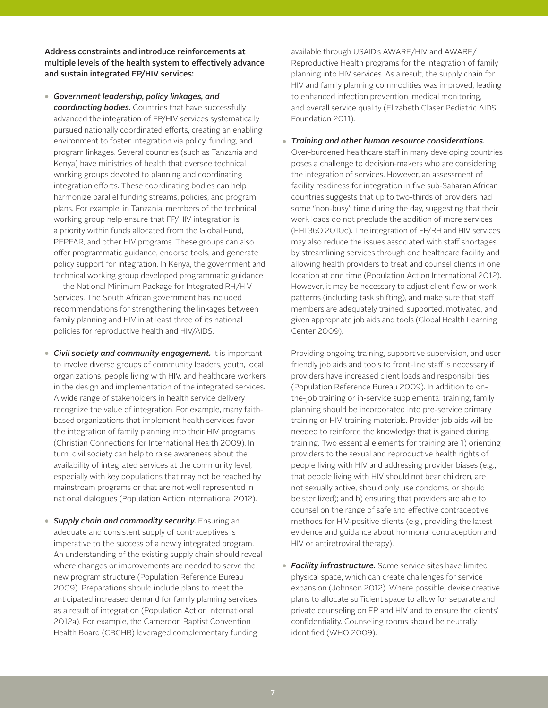Address constraints and introduce reinforcements at multiple levels of the health system to effectively advance and sustain integrated FP/HIV services:

- *Government leadership, policy linkages, and coordinating bodies.* Countries that have successfully advanced the integration of FP/HIV services systematically pursued nationally coordinated efforts, creating an enabling environment to foster integration via policy, funding, and program linkages. Several countries (such as Tanzania and Kenya) have ministries of health that oversee technical working groups devoted to planning and coordinating integration efforts. These coordinating bodies can help harmonize parallel funding streams, policies, and program plans. For example, in Tanzania, members of the technical working group help ensure that FP/HIV integration is a priority within funds allocated from the Global Fund, PEPFAR, and other HIV programs. These groups can also offer programmatic guidance, endorse tools, and generate policy support for integration. In Kenya, the government and technical working group developed programmatic guidance — the National Minimum Package for Integrated RH/HIV Services. The South African government has included recommendations for strengthening the linkages between family planning and HIV in at least three of its national policies for reproductive health and HIV/AIDS.
- *Civil society and community engagement.* It is important to involve diverse groups of community leaders, youth, local organizations, people living with HIV, and healthcare workers in the design and implementation of the integrated services. A wide range of stakeholders in health service delivery recognize the value of integration. For example, many faithbased organizations that implement health services favor the integration of family planning into their HIV programs (Christian Connections for International Health 2009). In turn, civil society can help to raise awareness about the availability of integrated services at the community level, especially with key populations that may not be reached by mainstream programs or that are not well represented in national dialogues (Population Action International 2012).
- *Supply chain and commodity security.* Ensuring an adequate and consistent supply of contraceptives is imperative to the success of a newly integrated program. An understanding of the existing supply chain should reveal where changes or improvements are needed to serve the new program structure (Population Reference Bureau 2009). Preparations should include plans to meet the anticipated increased demand for family planning services as a result of integration (Population Action International 2012a). For example, the Cameroon Baptist Convention Health Board (CBCHB) leveraged complementary funding

available through USAID's AWARE/HIV and AWARE/ Reproductive Health programs for the integration of family planning into HIV services. As a result, the supply chain for HIV and family planning commodities was improved, leading to enhanced infection prevention, medical monitoring, and overall service quality (Elizabeth Glaser Pediatric AIDS Foundation 2011).

● *Training and other human resource considerations.* Over-burdened healthcare staff in many developing countries poses a challenge to decision-makers who are considering the integration of services. However, an assessment of facility readiness for integration in five sub-Saharan African countries suggests that up to two-thirds of providers had some "non-busy" time during the day, suggesting that their work loads do not preclude the addition of more services (FHI 360 2010c). The integration of FP/RH and HIV services may also reduce the issues associated with staff shortages by streamlining services through one healthcare facility and allowing health providers to treat and counsel clients in one location at one time (Population Action International 2012). However, it may be necessary to adjust client flow or work patterns (including task shifting), and make sure that staff members are adequately trained, supported, motivated, and given appropriate job aids and tools (Global Health Learning Center 2009).

 Providing ongoing training, supportive supervision, and userfriendly job aids and tools to front-line staff is necessary if providers have increased client loads and responsibilities (Population Reference Bureau 2009). In addition to onthe-job training or in-service supplemental training, family planning should be incorporated into pre-service primary training or HIV-training materials. Provider job aids will be needed to reinforce the knowledge that is gained during training. Two essential elements for training are 1) orienting providers to the sexual and reproductive health rights of people living with HIV and addressing provider biases (e.g., that people living with HIV should not bear children, are not sexually active, should only use condoms, or should be sterilized); and b) ensuring that providers are able to counsel on the range of safe and effective contraceptive methods for HIV-positive clients (e.g., providing the latest evidence and guidance about hormonal contraception and HIV or antiretroviral therapy).

● *Facility infrastructure.* Some service sites have limited physical space, which can create challenges for service expansion (Johnson 2012). Where possible, devise creative plans to allocate sufficient space to allow for separate and private counseling on FP and HIV and to ensure the clients' confidentiality. Counseling rooms should be neutrally identified (WHO 2009).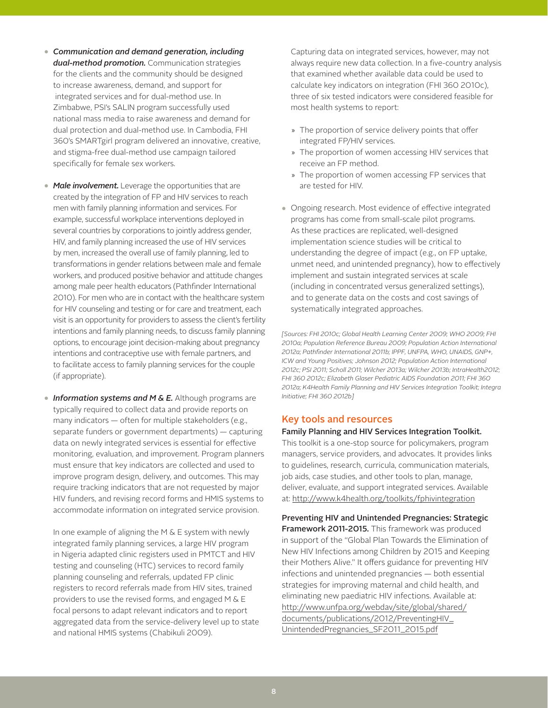- *Communication and demand generation, including dual-method promotion.* Communication strategies for the clients and the community should be designed to increase awareness, demand, and support for integrated services and for dual-method use. In Zimbabwe, PSI's SALIN program successfully used national mass media to raise awareness and demand for dual protection and dual-method use. In Cambodia, FHI 360's SMARTgirl program delivered an innovative, creative, and stigma-free dual-method use campaign tailored specifically for female sex workers.
- Male *involvement*. Leverage the opportunities that are created by the integration of FP and HIV services to reach men with family planning information and services. For example, successful workplace interventions deployed in several countries by corporations to jointly address gender, HIV, and family planning increased the use of HIV services by men, increased the overall use of family planning, led to transformations in gender relations between male and female workers, and produced positive behavior and attitude changes among male peer health educators (Pathfinder International 2010). For men who are in contact with the healthcare system for HIV counseling and testing or for care and treatment, each visit is an opportunity for providers to assess the client's fertility intentions and family planning needs, to discuss family planning options, to encourage joint decision-making about pregnancy intentions and contraceptive use with female partners, and to facilitate access to family planning services for the couple (if appropriate).
- *Information systems and M & E.* Although programs are typically required to collect data and provide reports on many indicators — often for multiple stakeholders (e.g., separate funders or government departments) — capturing data on newly integrated services is essential for effective monitoring, evaluation, and improvement. Program planners must ensure that key indicators are collected and used to improve program design, delivery, and outcomes. This may require tracking indicators that are not requested by major HIV funders, and revising record forms and HMIS systems to accommodate information on integrated service provision.

In one example of aligning the  $M \& E$  system with newly integrated family planning services, a large HIV program in Nigeria adapted clinic registers used in PMTCT and HIV testing and counseling (HTC) services to record family planning counseling and referrals, updated FP clinic registers to record referrals made from HIV sites, trained providers to use the revised forms, and engaged M & E focal persons to adapt relevant indicators and to report aggregated data from the service-delivery level up to state and national HMIS systems (Chabikuli 2009).

Capturing data on integrated services, however, may not always require new data collection. In a five-country analysis that examined whether available data could be used to calculate key indicators on integration (FHI 360 2010c), three of six tested indicators were considered feasible for most health systems to report:

- » The proportion of service delivery points that offer integrated FP/HIV services.
- » The proportion of women accessing HIV services that receive an FP method.
- » The proportion of women accessing FP services that are tested for HIV.
- Ongoing research. Most evidence of effective integrated programs has come from small-scale pilot programs. As these practices are replicated, well-designed implementation science studies will be critical to understanding the degree of impact (e.g., on FP uptake, unmet need, and unintended pregnancy), how to effectively implement and sustain integrated services at scale (including in concentrated versus generalized settings), and to generate data on the costs and cost savings of systematically integrated approaches.

*[Sources: FHI 2010c; Global Health Learning Center 2009; WHO 2009; FHI 2010a; Population Reference Bureau 2009; Population Action International 2012a; Pathnder International 2011b; IPPF, UNFPA, WHO, UNAIDS, GNP+, ICW and Young Positives; Johnson 2012; Population Action International 2012c; PSI 2011; Scholl 2011; Wilcher 2013a; Wilcher 2013b; IntraHealth2012; FHI 360 2012c; Elizabeth Glaser Pediatric AIDS Foundation 2011; FHI 360 2012a; K4Health Family Planning and HIV Services Integration Toolkit; Integra Initiative; FHI 360 2012b]*

# Key tools and resources

### Family Planning and HIV Services Integration Toolkit.

This toolkit is a one-stop source for policymakers, program managers, service providers, and advocates. It provides links to guidelines, research, curricula, communication materials, job aids, case studies, and other tools to plan, manage, deliver, evaluate, and support integrated services. Available at: http://www.k4health.org/toolkits/fphivintegration

Preventing HIV and Unintended Pregnancies: Strategic Framework 2011-2015. This framework was produced in support of the "Global Plan Towards the Elimination of New HIV Infections among Children by 2015 and Keeping their Mothers Alive." It offers guidance for preventing HIV infections and unintended pregnancies — both essential strategies for improving maternal and child health, and eliminating new paediatric HIV infections. Available at: http://www.unfpa.org/webdav/site/global/shared/ documents/publications/2012/PreventingHIV\_ UnintendedPregnancies\_SF2011\_2015.pdf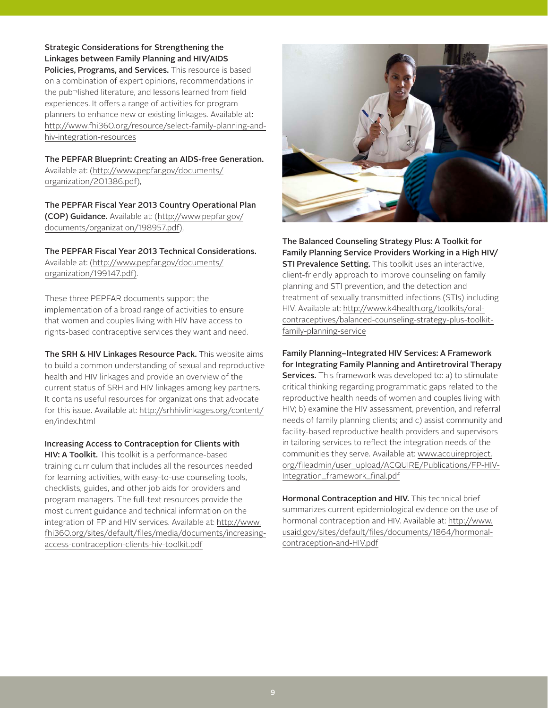Strategic Considerations for Strengthening the Linkages between Family Planning and HIV/AIDS Policies, Programs, and Services. This resource is based on a combination of expert opinions, recommendations in the pub¬lished literature, and lessons learned from field

experiences. It offers a range of activities for program planners to enhance new or existing linkages. Available at: http://www.fhi360.org/resource/select-family-planning-andhiv-integration-resources

The PEPFAR Blueprint: Creating an AIDS-free Generation. Available at: (http://www.pepfar.gov/documents/ organization/201386.pdf),

The PEPFAR Fiscal Year 2013 Country Operational Plan (COP) Guidance. Available at: (http://www.pepfar.gov/ documents/organization/198957.pdf),

The PEPFAR Fiscal Year 2013 Technical Considerations. Available at: (http://www.pepfar.gov/documents/ organization/199147.pdf).

These three PEPFAR documents support the implementation of a broad range of activities to ensure that women and couples living with HIV have access to rights-based contraceptive services they want and need.

The SRH & HIV Linkages Resource Pack. This website aims to build a common understanding of sexual and reproductive health and HIV linkages and provide an overview of the current status of SRH and HIV linkages among key partners. It contains useful resources for organizations that advocate for this issue. Available at: http://srhhivlinkages.org/content/ en/index.html

Increasing Access to Contraception for Clients with HIV: A Toolkit. This toolkit is a performance-based training curriculum that includes all the resources needed for learning activities, with easy-to-use counseling tools, checklists, guides, and other job aids for providers and program managers. The full-text resources provide the most current guidance and technical information on the integration of FP and HIV services. Available at: http://www. fhi360.org/sites/default/files/media/documents/increasingaccess-contraception-clients-hiv-toolkit.pdf



The Balanced Counseling Strategy Plus: A Toolkit for Family Planning Service Providers Working in a High HIV/ **STI Prevalence Setting.** This toolkit uses an interactive, client-friendly approach to improve counseling on family planning and STI prevention, and the detection and treatment of sexually transmitted infections (STIs) including HIV. Available at: http://www.k4health.org/toolkits/oralcontraceptives/balanced-counseling-strategy-plus-toolkitfamily-planning-service

Family Planning–Integrated HIV Services: A Framework for Integrating Family Planning and Antiretroviral Therapy Services. This framework was developed to: a) to stimulate critical thinking regarding programmatic gaps related to the reproductive health needs of women and couples living with HIV; b) examine the HIV assessment, prevention, and referral needs of family planning clients; and c) assist community and facility-based reproductive health providers and supervisors in tailoring services to reflect the integration needs of the communities they serve. Available at: www.acquireproject. org/fileadmin/user\_upload/ACQUIRE/Publications/FP-HIV-Integration\_framework\_final.pdf

Hormonal Contraception and HIV. This technical brief summarizes current epidemiological evidence on the use of hormonal contraception and HIV. Available at: http://www. usaid.gov/sites/default/files/documents/1864/hormonalcontraception-and-HIV.pdf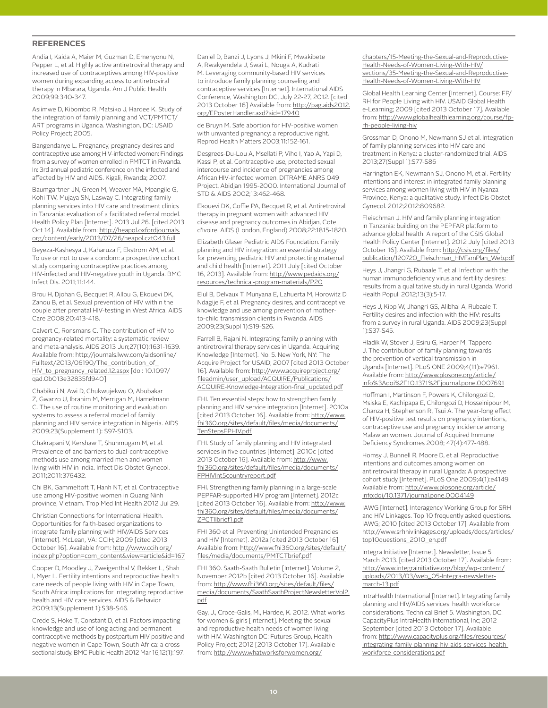## **REFERENCES**

Andia I, Kaida A, Maier M, Guzman D, Emenyonu N, Pepper L, et al. Highly active antiretroviral therapy and increased use of contraceptives among HIV-positive women during expanding access to antiretroviral therapy in Mbarara, Uganda. Am J Public Health 2009;99:340-347.

Asiimwe D, Kibombo R, Matsiko J, Hardee K. Study of the integration of family planning and VCT/PMTCT/ ART programs in Uganda. Washington, DC: USAID Policy Project; 2005.

Bangendanye L. Pregnancy, pregnancy desires and contraceptive use among HIV-infected women: Findings from a survey of women enrolled in PMTCT in Rwanda. In: 3rd annual pediatric conference on the infected and affected by HIV and AIDS. Kigali, Rwanda; 2007.

Baumgartner JN, Green M, Weaver MA, Mpangile G, Kohi TW, Mujaya SN, Lasway C. Integrating family planning services into HIV care and treatment clinics in Tanzania: evaluation of a facilitated referral model. Health Policy Plan [Internet]. 2013 Jul 26. [cited 2013 Oct 14]. Available from: http://heapol.oxfordjournals. org/content/early/2013/07/26/heapol.czt043.full

Beyeza-Kashesya J, Kaharuza F, Ekstrom AM, et al. To use or not to use a condom: a prospective cohort study comparing contraceptive practices among HIV-infected and HIV-negative youth in Uganda. BMC Infect Dis. 2011;11:144.

Brou H, Djohan G, Becquet R, Allou G, Ekouevi DK, Zanou B, et al. Sexual prevention of HIV within the couple after prenatal HIV-testing in West Africa. AIDS Care 2008;20:413-418.

Calvert C, Ronsmans C. The contribution of HIV to pregnancy-related mortality: a systematic review and meta-analysis. AIDS 2013 Jun;27(10):1631-1639. Available from: http://journals.lww.com/aidsonline/ Fulltext/2013/06190/The\_contribution\_of\_ HIV\_to\_pregnancy\_related.12.aspx [doi: 10.1097/ qad.0b013e32835fd940]

Chabikuli N, Awi D, Chukwujekwu O, Abubakar Z, Gwarzo U, Ibrahim M, Merrigan M, Hamelmann C. The use of routine monitoring and evaluation systems to assess a referral model of family planning and HIV service integration in Nigeria. AIDS 2009;23(Supplement 1): S97-S103.

Chakrapani V, Kershaw T, Shunmugam M, et al. Prevalence of and barriers to dual-contraceptive methods use among married men and women living with HIV in India. Infect Dis Obstet Gynecol. 2011;2011:376432.

Chi BK, Gammeltoft T, Hanh NT, et al. Contraceptive use among HIV-positive women in Quang Ninh province, Vietnam. Trop Med Int Health 2012 Jul 29.

Christian Connections for International Health. Opportunities for faith-based organizations to integrate family planning with HIV/AIDS Services [Internet]. McLean, VA: CCIH; 2009 [cited 2013 October 16]. Available from: http://www.ccih.org/ index.php?option=com\_content&view=article&id=167

Cooper D, Moodley J, Zweigenthal V, Bekker L, Shah I, Myer L. Fertility intentions and reproductive health care needs of people living with HIV in Cape Town, South Africa: implications for integrating reproductive health and HIV care services. AIDS & Behavior 2009;13(Supplement 1):S38-S46.

Crede S, Hoke T, Constant D, et al. Factors impacting knowledge and use of long acting and permanent contraceptive methods by postpartum HIV positive and negative women in Cape Town, South Africa: a crosssectional study. BMC Public Health 2012 Mar 16;12(1):197.

Daniel D, Banzi J, Lyons J, Mkini F, Mwakibete A, Rwakyendela J, Swai L, Nouga A, Kudrati M. Leveraging community-based HIV services to introduce family planning counseling and contraceptive services [Internet]. International AIDS Conference, Washington DC, July 22-27, 2012. [cited 2013 October 16] Available from: http://pag.aids2012. org/EPosterHandler.axd?aid=17940

de Bruyn M. Safe abortion for HIV-positive women with unwanted pregnancy: a reproductive right. Reprod Health Matters 2003;11:152-161.

Desgrees-Du-Lou A, Msellati P, Viho I, Yao A, Yapi D, Kassi P, et al. Contraceptive use, protected sexual intercourse and incidence of pregnancies among African HIV-infected women. DITRAME ANRS 049 Project, Abidjan 1995-2000. International Journal of STD & AIDS 2002;13:462-468.

Ekouevi DK, Coffie PA, Becquet R, et al. Antiretroviral therapy in pregnant women with advanced HIV disease and pregnancy outcomes in Abidjan, Cote d'Ivoire. AIDS (London, England) 2008;22:1815-1820.

Elizabeth Glaser Pediatric AIDS Foundation. Family planning and HIV integration: an essential strategy for preventing pediatric HIV and protecting maternal and child health [Internet]. 2011 July [cited October 16, 2013]. Available from: http://www.pedaids.org/ resources/technical-program-materials/P20

Elul B, Delvaux T, Munyana E, Lahuerta M, Horowitz D, Ndagije F, et al. Pregnancy desires, and contraceptive knowledge and use among prevention of motherto-child transmission clients in Rwanda. AIDS 2009;23(Suppl 1):S19-S26.

Farrell B, Rajani N. Integrating family planning with antiretroviral therapy services in Uganda. Acquiring Knowledge [Internet]. No. 5. New York, NY: The Acquire Project for USAID; 2007 [cited 2013 October 16]. Available from: http://www.acquireproject.org/ fileadmin/user\_upload/ACQUIRE/Publications/ ACQUIRE-Knowledge-Integration-final\_updated.pdf

FHI. Ten essential steps: how to strengthen family planning and HIV service integration [Internet]. 2010a [cited 2013 October 16]. Available from: http://www. fhi360.org/sites/default/files/media/documents/ TenStepsFPHIV.pdf

FHI. Study of family planning and HIV integrated services in five countries [Internet]. 2010c [cited 2013 October 16]. Available from: http://www. fhi360.org/sites/default/files/media/documents/ FPHIVInt5countryreport.pdf

FHI. Strengthening family planning in a large-scale PEPFAR-supported HIV program [Internet]. 2012c [cited 2013 October 16]. Available from: http://www. fhi360.org/sites/default/files/media/documents/ ZPCTIIbrief1.pdf

FHI 360 et al. Preventing Unintended Pregnancies and HIV [Internet]. 2012a [cited 2013 October 16]. Available from: http://www.fhi360.org/sites/default/ files/media/documents/PMTCTbrief.pdf

FHI 360. Saath-Saath Bulletin [Internet]. Volume 2, November 2012b [cited 2013 October 16]. Available from: http://www.fhi360.org/sites/default/files/ media/documents/SaathSaathProjectNewsletterVol2. pdf

Gay, J., Croce-Galis, M., Hardee, K. 2012. What works for women & girls [Internet]. Meeting the sexual and reproductive health needs of women living with HIV. Washington DC: Futures Group, Health Policy Project; 2012 [2013 October 17]. Available from: http://www.whatworksforwomen.org/

chapters/15-Meeting-the-Sexual-and-Reproductive-Health-Needs-of-Women-Living-With-HIV/ sections/35-Meeting-the-Sexual-and-Reproductive-Health-Needs-of-Women-Living-With-HIV

Global Health Learning Center [Internet]. Course: FP/ RH for People Living with HIV. USAID Global Health e-Learning; 2009 [cited 2013 October 17]. Available from: http://www.globalhealthlearning.org/course/fprh-people-living-hiv

Grossman D, Onono M, Newmann SJ et al. Integration of family planning services into HIV care and treatment in Kenya: a cluster-randomized trial. AIDS 2013;27(Suppl 1):S77-S86

Harrington EK, Newmann SJ, Onono M, et al. Fertility intentions and interest in integrated family planning services among women living with HIV in Nyanza Province, Kenya: a qualitative study. Infect Dis Obstet Gynecol. 2012;2012:809682.

Fleischman J. HIV and family planning integration in Tanzania: building on the PEPFAR platform to advance global health. A report of the CSIS Global Health Policy Center [Internet]. 2012 July [cited 2013 October 16]. Available from: http://csis.org/files/ publication/120720\_Fleischman\_HIVFamPlan\_Web.pdf

Heys J, Jhangri G, Rubaale T, et al. Infection with the human immunodeficiency virus and fertility desires: results from a qualitative study in rural Uganda. World Health Popul. 2012;13(3):5-17.

Heys J, Kipp W, Jhangri GS, Alibhai A, Rubaale T. Fertility desires and infection with the HIV: results from a survey in rural Uganda. AIDS 2009;23(Suppl 1):S37-S45.

Hladik W, Stover J, Esiru G, Harper M, Tappero J. The contribution of family planning towards the prevention of vertical transmission in Uganda [Internet]. PLoS ONE 2009;4(11):e7961. Available from: http://www.plosone.org/article/ info%3Adoi%2F10.1371%2Fjournal.pone.0007691

Hoffman I, Martinson F, Powers K, Chilongozi D, Msiska E, Kachipapa E, Chilongozi D, Hosseinipour M, Chanza H, Stephenson R, Tsui A. The year-long effect of HIV-positive test results on pregnancy intentions, contraceptive use and pregnancy incidence among Malawian women. Journal of Acquired Immune Deficiency Syndromes 2008; 47(4):477-488.

Homsy J, Bunnell R, Moore D, et al. Reproductive intentions and outcomes among women on antiretroviral therapy in rural Uganda: A prospective cohort study [Internet]. PLoS One 2009;4(1):e4149. Available from: http://www.plosone.org/article/ info:doi/10.1371/journal.pone.0004149

IAWG [Internet]. Interagency Working Group for SRH and HIV Linkages. Top 10 frequently asked questions. IAWG; 2010 [cited 2013 October 17]. Available from: http://www.srhhivlinkages.org/uploads/docs/articles/ top10questions\_2010\_en.pdf

Integra Initiative [Internet]. Newsletter, Issue 5. March 2013. [cited 2013 October 17]. Available from: http://www.integrainitiative.org/blog/wp-content/ uploads/2013/03/web\_05-Integra-newslettermarch-13.pdf

IntraHealth International [Internet]. Integrating family planning and HIV/AIDS services: health workforce considerations. Technical Brief 5. Washington, DC: CapacityPlus IntraHealth International, Inc; 2012 September [cited 2013 October 17]. Available from: http://www.capacityplus.org/files/resources/ integrating-family-planning-hiv-aids-services-healthworkforce-considerations.pdf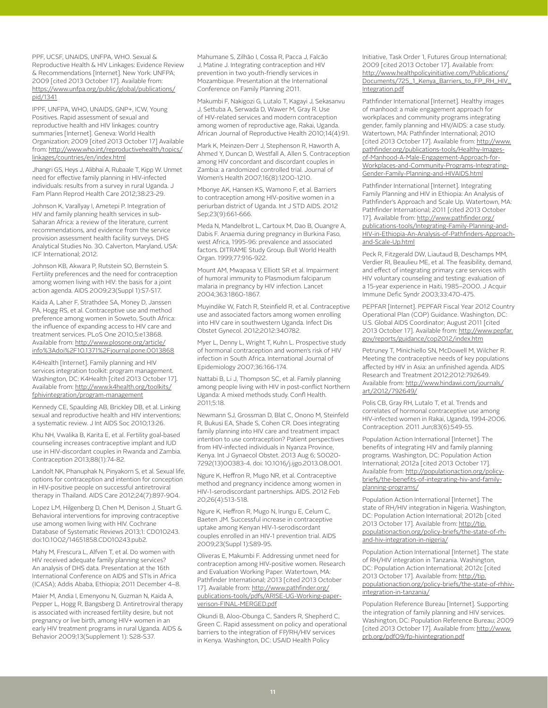PPF, UCSF, UNAIDS, UNFPA, WHO. Sexual & Reproductive Health & HIV Linkages: Evidence Review & Recommendations [Internet]. New York: UNFPA; 2009 [cited 2013 October 17]. Available from: https://www.unfpa.org/public/global/publications/ pid/1341

IPPF, UNFPA, WHO, UNAIDS, GNP+, ICW, Young Positives. Rapid assessment of sexual and reproductive health and HIV linkages: country summaries [Internet]. Geneva: World Health Organization; 2009 [cited 2013 October 17] Available from: http://www.who.int/reproductivehealth/topics/ linkages/countries/en/index.html

Jhangri GS, Heys J, Alibhai A, Rubaale T, Kipp W. Unmet need for effective family planning in HIV-infected individuals: results from a survey in rural Uganda. J Fam Plann Reprod Health Care 2012;38:23-29.

Johnson K, Varallyay I, Ametepi P. Integration of HIV and family planning health services in sub-Saharan Africa: a review of the literature, current recommendations, and evidence from the service provision assessment health facility surveys. DHS Analytical Studies No. 30. Calverton, Maryland, USA: ICF International; 2012.

Johnson KB, Akwara P, Rutstein SO, Bernstein S. Fertility preferences and the need for contraception among women living with HIV: the basis for a joint action agenda. AIDS 2009;23(Suppl 1):S7-S17.

Kaida A, Laher F, Strathdee SA, Money D, Janssen PA, Hogg RS, et al. Contraceptive use and method preference among women in Soweto, South Africa: the influence of expanding access to HIV care and treatment services. PLoS One 2010,5:e13868. Available from: http://www.plosone.org/article/ info%3Adoi%2F10.1371%2Fjournal.pone.0013868

K4Health [Internet]. Family planning and HIV services integration toolkit: program management. Washington, DC: K4Health [cited 2013 October 17]. Available from: http://www.k4health.org/toolkits/ fphivintegration/program-management

Kennedy CE, Spaulding AB, Brickley DB, et al. Linking sexual and reproductive health and HIV interventions: a systematic review. J Int AIDS Soc 2010;13:26.

Khu NH, Vwalika B, Karita E, et al. Fertility goal-based counseling increases contraceptive implant and IUD use in HIV-discordant couples in Rwanda and Zambia. Contraception 2013;88(1):74-82.

Landolt NK, Phanuphak N, Pinyakorn S, et al. Sexual life, options for contraception and intention for conception in HIV-positive people on successful antiretroviral therapy in Thailand. AIDS Care 2012;24(7):897-904.

Lopez LM, Hilgenberg D, Chen M, Denison J, Stuart G. Behavioral interventions for improving contraceptive use among women living with HIV. Cochrane Database of Systematic Reviews 2013;1: CD010243. doi:10.1002/14651858.CD010243.pub2.

Mahy M, Frescura L, Alfven T, et al. Do women with HIV received adequate family planning services? An analysis of DHS data. Presentation at the 16th International Conference on AIDS and STIs in Africa (ICASA); Addis Ababa, Ethiopia; 2011 December 4–8.

Maier M, Andia I, Emenyonu N, Guzman N, Kaida A, Pepper L, Hogg R, Bangsberg D. Antiretroviral therapy is associated with increased fertility desire, but not pregnancy or live birth, among HIV+ women in an early HIV treatment programs in rural Uganda. AIDS & Behavior 2009;13(Supplement 1): S28-S37.

Mahumane S, Zilhão I, Cossa R, Pacca J, Falcão J, Matine J. Integrating contraception and HIV prevention in two youth-friendly services in Mozambique. Presentation at the International Conference on Family Planning 2011.

Makumbi F, Nakigozi G, Lutalo T, Kagayi J, Sekasanvu J, Settuba A, Serwada D, Wawer M, Gray R. Use of HIV-related services and modern contraception among women of reproductive age, Rakai, Uganda. African Journal of Reproductive Health 2010;14(4):91.

Mark K, Meinzen-Derr J, Stephenson R, Haworth A, Ahmed Y, Duncan D, Westfall A, Allen S. Contraception among HIV concordant and discordant couples in Zambia: a randomized controlled trial. Journal of Women's Health 2007;16(8):1200-1210.

Mbonye AK, Hansen KS, Wamono F, et al. Barriers to contraception among HIV-positive women in a periurban district of Uganda. Int J STD AIDS. 2012 Sep;23(9):661-666.

Meda N, Mandelbrot L, Cartoux M, Dao B, Ouangre A, Dabis F. Anaemia during pregnancy in Burkina Faso, west Africa, 1995-96: prevalence and associated factors. DITRAME Study Group. Bull World Health Organ. 1999;77:916-922.

Mount AM, Mwapasa V, Elliott SR et al. Impairment of humoral immunity to Plasmodium falciparum malaria in pregnancy by HIV infection. Lancet 2004;363:1860-1867.

Muyindike W, Fatch R, Steinfield R, et al. Contraceptive use and associated factors among women enrolling into HIV care in southwestern Uganda. Infect Dis Obstet Gynecol. 2012;2012:340782.

Myer L, Denny L, Wright T, Kuhn L. Prospective study of hormonal contraception and women's risk of HIV infection in South Africa. International Journal of Epidemiology 2007;36:166-174.

Nattabi B, Li J, Thompson SC, et al. Family planning among people living with HIV in post-conflict Northern Uganda: A mixed methods study. Confl Health. 2011;5:18.

Newmann SJ, Grossman D, Blat C, Onono M, Steinfeld R, Bukusi EA, Shade S, Cohen CR. Does integrating family planning into HIV care and treatment impact intention to use contraception? Patient perspectives from HIV-infected individuals in Nyanza Province, Kenya. Int J Gynaecol Obstet. 2013 Aug 6; S0020- 7292(13)00383-4. doi: 10.1016/j.ijgo.2013.08.001.

Ngure K, Heffron R, Mugo NR, et al. Contraceptive method and pregnancy incidence among women in HIV-1-serodiscordant partnerships. AIDS. 2012 Feb 20;26(4):513-518.

Ngure K, Heffron R, Mugo N, Irungu E, Celum C, Baeten JM. Successful increase in contraceptive uptake among Kenyan HIV-1-serodiscordant couples enrolled in an HIV-1 prevention trial. AIDS 2009;23(Suppl 1):S89-95.

Oliveras E, Makumbi F. Addressing unmet need for contraception among HIV-positive women. Research and Evaluation Working Paper. Watertown, MA: Pathfinder International; 2013 [cited 2013 October 17]. Available from: http://www.pathfinder.org/ publications-tools/pdfs/ARISE-UG-Working-paperverison-FINAL-MERGED.pdf

Okundi B, Aloo-Obunga C, Sanders R, Shepherd C, Green C. Rapid assessment on policy and operational barriers to the integration of FP/RH/HIV services in Kenya. Washington, DC: USAID Health Policy

Initiative, Task Order 1, Futures Group International; 2009 [cited 2013 October 17]. Available from: http://www.healthpolicyinitiative.com/Publications/ Documents/725\_1\_Kenya\_Barriers\_to\_FP\_RH\_HIV\_ Integration.pdf

Pathfinder International [Internet]. Healthy images of manhood: a male engagement approach for workplaces and community programs integrating gender, family planning and HIV/AIDS: a case study. Watertown, MA: Pathfinder International; 2010 [cited 2013 October 17]. Available from: http://www. pathfinder.org/publications-tools/Healthy-Imagesof-Manhood-A-Male-Engagement-Approach-for-Workplaces-and-Community-Programs-Integrating-Gender-Family-Planning-and-HIVAIDS.html

Pathfinder International [Internet]. Integrating Family Planning and HIV in Ethiopia: An Analysis of Pathfinder's Approach and Scale Up. Watertown, MA: Pathfinder International; 2011 [cited 2013 October 17]. Available from: http://www.pathfinder.org/ publications-tools/Integrating-Family-Planning-and-HIV-in-Ethiopia-An-Analysis-of-Pathfinders-Approachand-Scale-Up.html

Peck R, Fitzgerald DW, Liautaud B, Deschamps MM, Verdier RI, Beaulieu ME, et al. The feasibility, demand, and effect of integrating primary care services with HIV voluntary counseling and testing: evaluation of a 15-year experience in Haiti, 1985–2000. J Acquir Immune Defic Syndr 2003;33:470-475.

PEPFAR [Internet]. PEPFAR Fiscal Year 2012 Country Operational Plan (COP) Guidance. Washington, DC: U.S. Global AIDS Coordinator; August 2011 [cited 2013 October 17]. Available from: http://www.pepfar. gov/reports/guidance/cop2012/index.htm

Petruney T, Minichiello SN, McDowell M, Wilcher R. Meeting the contraceptive needs of key populations affected by HIV in Asia: an unfinished agenda. AIDS Research and Treatment 2012;2012:792649. Available from: http://www.hindawi.com/journals/ art/2012/792649/

Polis CB, Gray RH, Lutalo T, et al. Trends and correlates of hormonal contraceptive use among HIV-infected women in Rakai, Uganda, 1994-2006. Contraception. 2011 Jun;83(6):549-55.

Population Action International [Internet]. The benefits of integrating HIV and family planning programs. Washington, DC: Population Action International; 2012a [cited 2013 October 17]. Available from: http://populationaction.org/policybriefs/the-benefits-of-integrating-hiv-and-familyplanning-programs/

Population Action International [Internet]. The state of RH/HIV integration in Nigeria. Washington, DC: Population Action International; 2012b [cited 2013 October 17]. Available from: http://tip. populationaction.org/policy-briefs/the-state-of-rhand-hiv-integration-in-nigeria/

Population Action International [Internet]. The state of RH/HIV integration in Tanzania. Washington, DC: Population Action International; 2012c [cited 2013 October 17]. Available from: http://tip. populationaction.org/policy-briefs/the-state-of-rhhivintegration-in-tanzania/

Population Reference Bureau [Internet]. Supporting the integration of family planning and HIV services. Washington, DC: Population Reference Bureau; 2009 [cited 2013 October 17]. Available from: http://www. prb.org/pdf09/fp-hivintegration.pdf